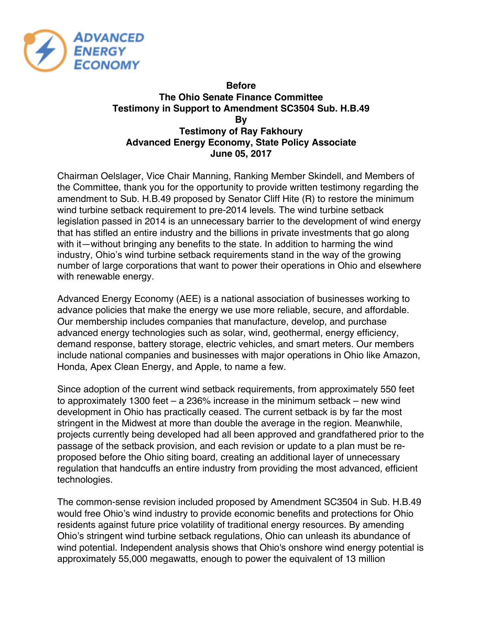

## **Before The Ohio Senate Finance Committee Testimony in Support to Amendment SC3504 Sub. H.B.49 By Testimony of Ray Fakhoury Advanced Energy Economy, State Policy Associate June 05, 2017**

Chairman Oelslager, Vice Chair Manning, Ranking Member Skindell, and Members of the Committee, thank you for the opportunity to provide written testimony regarding the amendment to Sub. H.B.49 proposed by Senator Cliff Hite (R) to restore the minimum wind turbine setback requirement to pre-2014 levels. The wind turbine setback legislation passed in 2014 is an unnecessary barrier to the development of wind energy that has stifled an entire industry and the billions in private investments that go along with it—without bringing any benefits to the state. In addition to harming the wind industry, Ohio's wind turbine setback requirements stand in the way of the growing number of large corporations that want to power their operations in Ohio and elsewhere with renewable energy.

Advanced Energy Economy (AEE) is a national association of businesses working to advance policies that make the energy we use more reliable, secure, and affordable. Our membership includes companies that manufacture, develop, and purchase advanced energy technologies such as solar, wind, geothermal, energy efficiency, demand response, battery storage, electric vehicles, and smart meters. Our members include national companies and businesses with major operations in Ohio like Amazon, Honda, Apex Clean Energy, and Apple, to name a few.

Since adoption of the current wind setback requirements, from approximately 550 feet to approximately 1300 feet – a 236% increase in the minimum setback – new wind development in Ohio has practically ceased. The current setback is by far the most stringent in the Midwest at more than double the average in the region. Meanwhile, projects currently being developed had all been approved and grandfathered prior to the passage of the setback provision, and each revision or update to a plan must be reproposed before the Ohio siting board, creating an additional layer of unnecessary regulation that handcuffs an entire industry from providing the most advanced, efficient technologies.

The common-sense revision included proposed by Amendment SC3504 in Sub. H.B.49 would free Ohio's wind industry to provide economic benefits and protections for Ohio residents against future price volatility of traditional energy resources. By amending Ohio's stringent wind turbine setback regulations, Ohio can unleash its abundance of wind potential. Independent analysis shows that Ohio's onshore wind energy potential is approximately 55,000 megawatts, enough to power the equivalent of 13 million